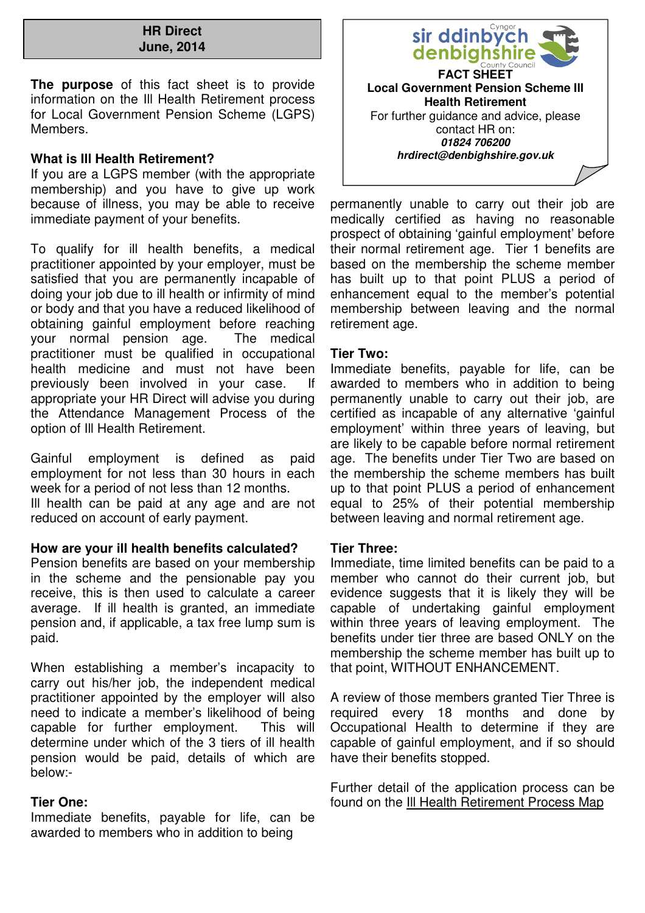#### **HR Direct June, 2014**

**The purpose** of this fact sheet is to provide information on the Ill Health Retirement process for Local Government Pension Scheme (LGPS) Members.

## **What is Ill Health Retirement?**

If you are a LGPS member (with the appropriate membership) and you have to give up work because of illness, you may be able to receive immediate payment of your benefits.

To qualify for ill health benefits, a medical practitioner appointed by your employer, must be satisfied that you are permanently incapable of doing your job due to ill health or infirmity of mind or body and that you have a reduced likelihood of obtaining gainful employment before reaching your normal pension age. The medical practitioner must be qualified in occupational health medicine and must not have been previously been involved in your case. If appropriate your HR Direct will advise you during the Attendance Management Process of the option of Ill Health Retirement.

Gainful employment is defined as paid employment for not less than 30 hours in each week for a period of not less than 12 months.

Ill health can be paid at any age and are not reduced on account of early payment.

# **How are your ill health benefits calculated?**

Pension benefits are based on your membership in the scheme and the pensionable pay you receive, this is then used to calculate a career average. If ill health is granted, an immediate pension and, if applicable, a tax free lump sum is paid.

When establishing a member's incapacity to carry out his/her job, the independent medical practitioner appointed by the employer will also need to indicate a member's likelihood of being capable for further employment. This will determine under which of the 3 tiers of ill health pension would be paid, details of which are below:-

### **Tier One:**

Immediate benefits, payable for life, can be awarded to members who in addition to being



permanently unable to carry out their job are medically certified as having no reasonable prospect of obtaining 'gainful employment' before their normal retirement age. Tier 1 benefits are based on the membership the scheme member has built up to that point PLUS a period of enhancement equal to the member's potential membership between leaving and the normal retirement age.

### **Tier Two:**

Immediate benefits, payable for life, can be awarded to members who in addition to being permanently unable to carry out their job, are certified as incapable of any alternative 'gainful employment' within three years of leaving, but are likely to be capable before normal retirement age. The benefits under Tier Two are based on the membership the scheme members has built up to that point PLUS a period of enhancement equal to 25% of their potential membership between leaving and normal retirement age.

### **Tier Three:**

Immediate, time limited benefits can be paid to a member who cannot do their current job, but evidence suggests that it is likely they will be capable of undertaking gainful employment within three years of leaving employment. The benefits under tier three are based ONLY on the membership the scheme member has built up to that point, WITHOUT ENHANCEMENT.

A review of those members granted Tier Three is required every 18 months and done by Occupational Health to determine if they are capable of gainful employment, and if so should have their benefits stopped.

Further detail of the application process can be found on the Ill Health Retirement Process Map